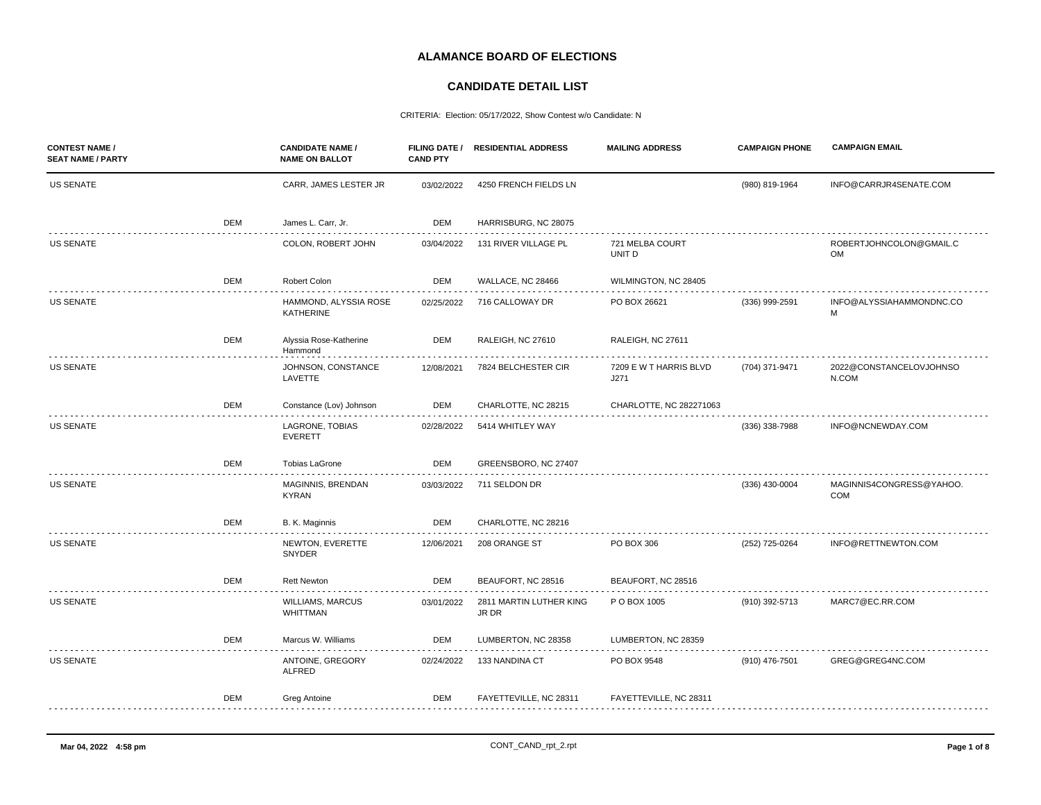## **ALAMANCE BOARD OF ELECTIONS**

## **CANDIDATE DETAIL LIST**

CRITERIA: Election: 05/17/2022, Show Contest w/o Candidate: N

| <b>CONTEST NAME /</b><br><b>SEAT NAME / PARTY</b> |            | <b>CANDIDATE NAME /</b><br><b>NAME ON BALLOT</b> | <b>CAND PTY</b> | FILING DATE / RESIDENTIAL ADDRESS | <b>MAILING ADDRESS</b>         | <b>CAMPAIGN PHONE</b> | <b>CAMPAIGN EMAIL</b>            |
|---------------------------------------------------|------------|--------------------------------------------------|-----------------|-----------------------------------|--------------------------------|-----------------------|----------------------------------|
| <b>US SENATE</b>                                  |            | CARR, JAMES LESTER JR                            | 03/02/2022      | 4250 FRENCH FIELDS LN             |                                | (980) 819-1964        | INFO@CARRJR4SENATE.COM           |
|                                                   | DEM        | James L. Carr, Jr.                               | DEM             | HARRISBURG, NC 28075              |                                |                       |                                  |
| <b>US SENATE</b>                                  |            | COLON, ROBERT JOHN                               | 03/04/2022      | 131 RIVER VILLAGE PL              | 721 MELBA COURT<br>UNIT D      |                       | ROBERTJOHNCOLON@GMAIL.C<br>OM    |
|                                                   | DEM        | Robert Colon                                     | DEM             | WALLACE, NC 28466                 | WILMINGTON, NC 28405           |                       |                                  |
| <b>US SENATE</b>                                  |            | HAMMOND, ALYSSIA ROSE<br><b>KATHERINE</b>        | 02/25/2022      | 716 CALLOWAY DR                   | PO BOX 26621                   | $(336)$ 999-2591      | INFO@ALYSSIAHAMMONDNC.CO<br>M    |
|                                                   | DEM        | Alyssia Rose-Katherine<br>Hammond                | DEM             | RALEIGH, NC 27610                 | RALEIGH, NC 27611              |                       |                                  |
| <b>US SENATE</b>                                  |            | JOHNSON, CONSTANCE<br>LAVETTE                    | 12/08/2021      | 7824 BELCHESTER CIR               | 7209 E W T HARRIS BLVD<br>J271 | (704) 371-9471        | 2022@CONSTANCELOVJOHNSO<br>N.COM |
|                                                   | DEM        | Constance (Lov) Johnson                          | DEM             | CHARLOTTE, NC 28215               | CHARLOTTE, NC 282271063        |                       |                                  |
| <b>US SENATE</b>                                  |            | LAGRONE, TOBIAS<br><b>EVERETT</b>                | 02/28/2022      | 5414 WHITLEY WAY                  |                                | (336) 338-7988        | INFO@NCNEWDAY.COM                |
|                                                   | DEM        | Tobias LaGrone                                   | DEM             | GREENSBORO, NC 27407              |                                |                       |                                  |
| <b>US SENATE</b>                                  |            | MAGINNIS, BRENDAN<br><b>KYRAN</b>                | 03/03/2022      | 711 SELDON DR                     |                                | (336) 430-0004        | MAGINNIS4CONGRESS@YAHOO.<br>COM  |
|                                                   | DEM        | B. K. Maginnis                                   | DEM             | CHARLOTTE, NC 28216               |                                |                       |                                  |
| <b>US SENATE</b>                                  |            | NEWTON, EVERETTE<br>SNYDER                       | 12/06/2021      | 208 ORANGE ST                     | PO BOX 306                     | (252) 725-0264        | INFO@RETTNEWTON.COM              |
|                                                   | DEM        | <b>Rett Newton</b>                               | DEM             | BEAUFORT, NC 28516                | BEAUFORT, NC 28516             |                       |                                  |
| <b>US SENATE</b>                                  |            | <b>WILLIAMS, MARCUS</b><br>WHITTMAN              | 03/01/2022      | 2811 MARTIN LUTHER KING<br>JR DR  | P O BOX 1005                   | (910) 392-5713        | MARC7@EC.RR.COM                  |
|                                                   | <b>DEM</b> | Marcus W. Williams                               | DEM             | LUMBERTON, NC 28358               | LUMBERTON, NC 28359            |                       |                                  |
| <b>US SENATE</b>                                  |            | ANTOINE, GREGORY<br>ALFRED                       | 02/24/2022      | 133 NANDINA CT                    | PO BOX 9548                    | (910) 476-7501        | GREG@GREG4NC.COM                 |
|                                                   | DEM        | Greg Antoine                                     | DEM             | FAYETTEVILLE, NC 28311            | FAYETTEVILLE, NC 28311         |                       |                                  |
|                                                   |            |                                                  |                 |                                   |                                |                       |                                  |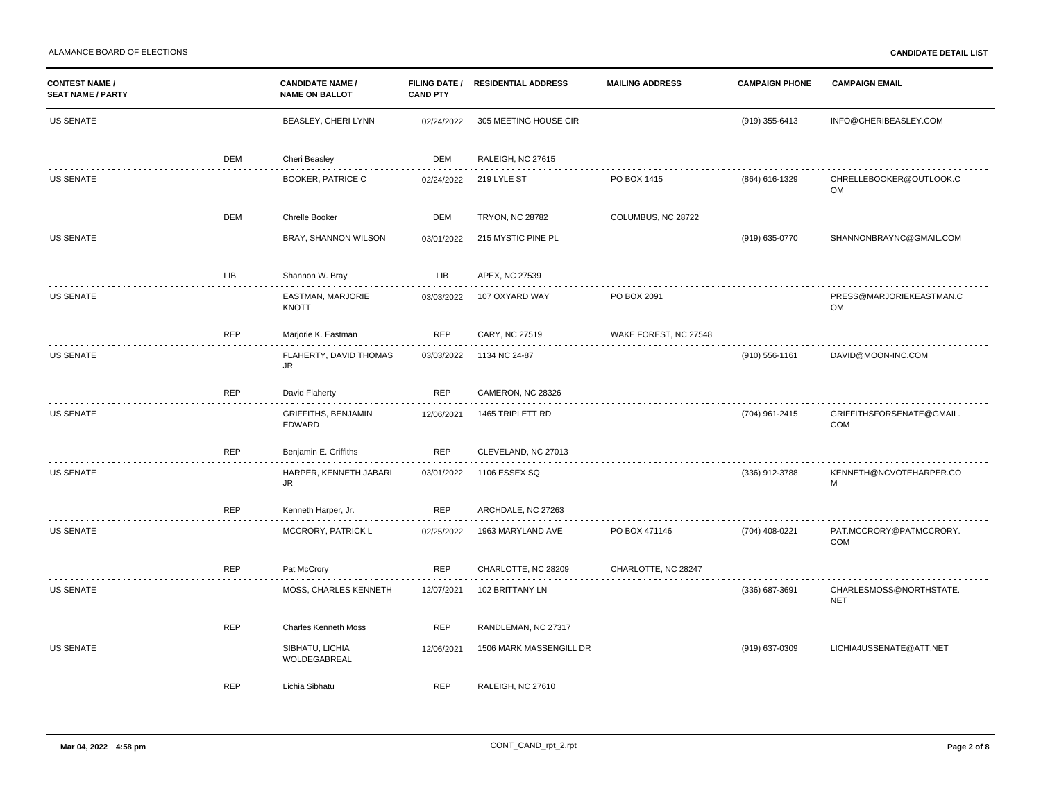| <b>CONTEST NAME /</b><br><b>SEAT NAME / PARTY</b> |            | <b>CANDIDATE NAME /</b><br><b>NAME ON BALLOT</b> | <b>CAND PTY</b> | FILING DATE / RESIDENTIAL ADDRESS | <b>MAILING ADDRESS</b> | <b>CAMPAIGN PHONE</b> | <b>CAMPAIGN EMAIL</b>                 |
|---------------------------------------------------|------------|--------------------------------------------------|-----------------|-----------------------------------|------------------------|-----------------------|---------------------------------------|
| US SENATE                                         |            | BEASLEY, CHERI LYNN                              | 02/24/2022      | 305 MEETING HOUSE CIR             |                        | (919) 355-6413        | INFO@CHERIBEASLEY.COM                 |
|                                                   | DEM        | Cheri Beasley                                    | DEM             | RALEIGH, NC 27615                 |                        |                       |                                       |
| <b>US SENATE</b>                                  |            | <b>BOOKER, PATRICE C</b>                         | 02/24/2022      | 219 LYLE ST                       | PO BOX 1415            | (864) 616-1329        | CHRELLEBOOKER@OUTLOOK.C<br>OM         |
|                                                   | <b>DEM</b> | Chrelle Booker                                   | <b>DEM</b>      | <b>TRYON, NC 28782</b>            | COLUMBUS, NC 28722     |                       |                                       |
| <b>US SENATE</b>                                  |            | BRAY, SHANNON WILSON                             | 03/01/2022      | 215 MYSTIC PINE PL                |                        | (919) 635-0770        | SHANNONBRAYNC@GMAIL.COM               |
|                                                   | <b>LIB</b> | Shannon W. Bray                                  | LIB             | APEX, NC 27539                    |                        |                       |                                       |
| US SENATE                                         |            | EASTMAN, MARJORIE<br><b>KNOTT</b>                | 03/03/2022      | 107 OXYARD WAY                    | PO BOX 2091            |                       | PRESS@MARJORIEKEASTMAN.C<br>OM        |
|                                                   | <b>REP</b> | Marjorie K. Eastman                              | <b>REP</b>      | CARY, NC 27519                    | WAKE FOREST, NC 27548  |                       |                                       |
| US SENATE                                         |            | FLAHERTY, DAVID THOMAS<br>JR.                    | 03/03/2022      | 1134 NC 24-87                     |                        | (910) 556-1161        | DAVID@MOON-INC.COM                    |
|                                                   | <b>REP</b> | David Flaherty                                   | <b>REP</b>      | CAMERON, NC 28326                 |                        |                       |                                       |
| US SENATE                                         |            | GRIFFITHS, BENJAMIN<br>EDWARD                    | 12/06/2021      | 1465 TRIPLETT RD                  |                        | (704) 961-2415        | GRIFFITHSFORSENATE@GMAIL.<br>COM      |
|                                                   | <b>REP</b> | Benjamin E. Griffiths                            | <b>REP</b>      | CLEVELAND, NC 27013               |                        |                       |                                       |
| US SENATE                                         |            | HARPER, KENNETH JABARI<br>JR.                    | 03/01/2022      | 1106 ESSEX SQ                     |                        | (336) 912-3788        | KENNETH@NCVOTEHARPER.CO<br>M          |
|                                                   | <b>REP</b> | Kenneth Harper, Jr.                              | <b>REP</b>      | ARCHDALE, NC 27263                |                        |                       |                                       |
| US SENATE                                         |            | MCCRORY, PATRICK L                               | 02/25/2022      | 1963 MARYLAND AVE                 | PO BOX 471146          | (704) 408-0221        | PAT.MCCRORY@PATMCCRORY.<br><b>COM</b> |
|                                                   | <b>REP</b> | Pat McCrory                                      | <b>REP</b>      | CHARLOTTE, NC 28209               | CHARLOTTE, NC 28247    |                       |                                       |
| US SENATE                                         |            | MOSS, CHARLES KENNETH                            | 12/07/2021      | 102 BRITTANY LN                   |                        | (336) 687-3691        | CHARLESMOSS@NORTHSTATE.<br><b>NET</b> |
|                                                   | <b>REP</b> | <b>Charles Kenneth Moss</b>                      | <b>REP</b>      | RANDLEMAN, NC 27317               |                        |                       |                                       |
| US SENATE                                         |            | SIBHATU, LICHIA<br>WOLDEGABREAL                  | 12/06/2021      | 1506 MARK MASSENGILL DR           |                        | (919) 637-0309        | LICHIA4USSENATE@ATT.NET               |
|                                                   | <b>REP</b> | Lichia Sibhatu                                   | <b>REP</b>      | RALEIGH, NC 27610                 |                        |                       |                                       |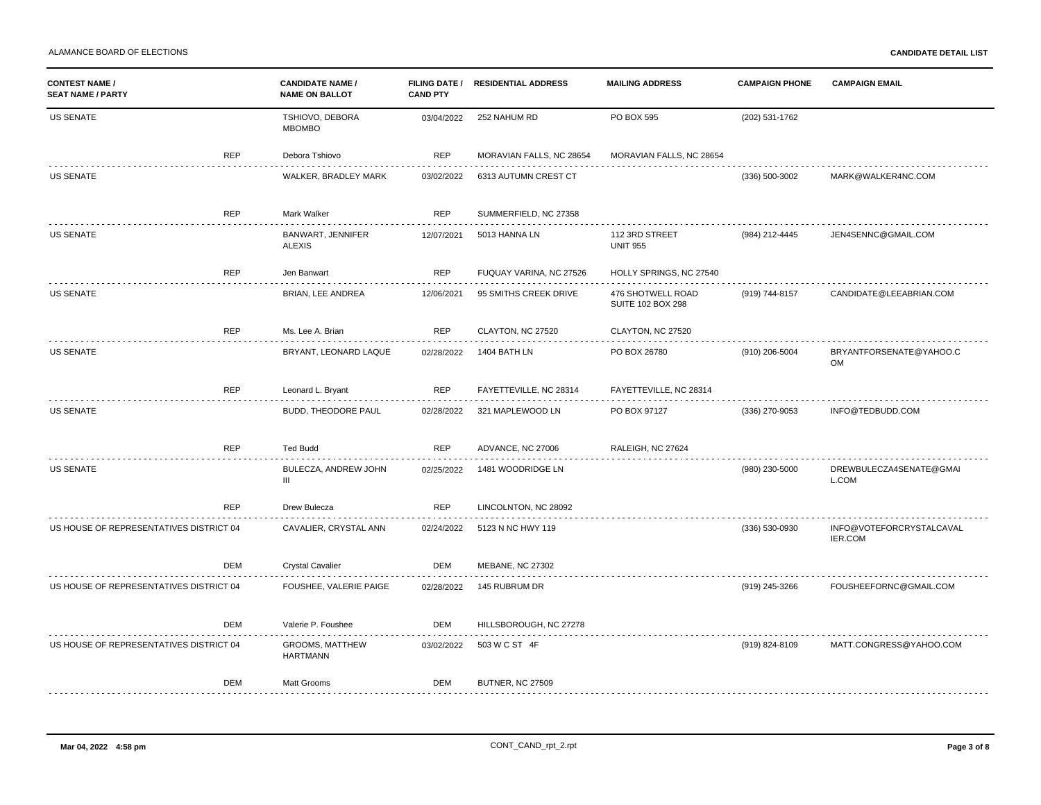ALAMANCE BOARD OF ELECTIONS **CANDIDATE DETAIL LIST**

| <b>CONTEST NAME /</b><br><b>SEAT NAME / PARTY</b> |            | <b>CANDIDATE NAME /</b><br><b>NAME ON BALLOT</b> | <b>FILING DATE /</b><br><b>CAND PTY</b> | <b>RESIDENTIAL ADDRESS</b> | <b>MAILING ADDRESS</b>                 | <b>CAMPAIGN PHONE</b> | <b>CAMPAIGN EMAIL</b>                |
|---------------------------------------------------|------------|--------------------------------------------------|-----------------------------------------|----------------------------|----------------------------------------|-----------------------|--------------------------------------|
| US SENATE                                         |            | TSHIOVO, DEBORA<br><b>MBOMBO</b>                 | 03/04/2022                              | 252 NAHUM RD               | PO BOX 595                             | (202) 531-1762        |                                      |
|                                                   | <b>REP</b> | Debora Tshiovo                                   | <b>REP</b>                              | MORAVIAN FALLS, NC 28654   | MORAVIAN FALLS, NC 28654               |                       |                                      |
| <b>US SENATE</b>                                  |            | WALKER, BRADLEY MARK                             | 03/02/2022                              | 6313 AUTUMN CREST CT       |                                        | (336) 500-3002        | MARK@WALKER4NC.COM                   |
|                                                   | <b>REP</b> | Mark Walker                                      | <b>REP</b>                              | SUMMERFIELD, NC 27358      |                                        |                       |                                      |
| <b>US SENATE</b>                                  |            | BANWART, JENNIFER<br><b>ALEXIS</b>               | 12/07/2021                              | 5013 HANNA LN              | 112 3RD STREET<br><b>UNIT 955</b>      | (984) 212-4445        | JEN4SENNC@GMAIL.COM                  |
|                                                   | <b>REP</b> | Jen Banwart                                      | <b>REP</b>                              | FUQUAY VARINA, NC 27526    | HOLLY SPRINGS, NC 27540                |                       |                                      |
| <b>US SENATE</b>                                  |            | BRIAN, LEE ANDREA                                | 12/06/2021                              | 95 SMITHS CREEK DRIVE      | 476 SHOTWELL ROAD<br>SUITE 102 BOX 298 | (919) 744-8157        | CANDIDATE@LEEABRIAN.COM              |
|                                                   | <b>REP</b> | Ms. Lee A. Brian                                 | <b>REP</b>                              | CLAYTON, NC 27520          | CLAYTON, NC 27520                      |                       |                                      |
| <b>US SENATE</b>                                  |            | BRYANT, LEONARD LAQUE                            | 02/28/2022                              | 1404 BATH LN               | PO BOX 26780                           | (910) 206-5004        | BRYANTFORSENATE@YAHOO.C<br><b>OM</b> |
|                                                   | <b>REP</b> | Leonard L. Bryant                                | <b>REP</b>                              | FAYETTEVILLE, NC 28314     | FAYETTEVILLE, NC 28314                 |                       |                                      |
| <b>US SENATE</b>                                  |            | <b>BUDD, THEODORE PAUL</b>                       | 02/28/2022                              | 321 MAPLEWOOD LN           | PO BOX 97127                           | (336) 270-9053        | INFO@TEDBUDD.COM                     |
|                                                   | <b>REP</b> | <b>Ted Budd</b>                                  | <b>REP</b>                              | ADVANCE, NC 27006          | RALEIGH, NC 27624                      |                       |                                      |
| <b>US SENATE</b>                                  |            | BULECZA, ANDREW JOHN<br>III                      | 02/25/2022                              | 1481 WOODRIDGE LN          |                                        | (980) 230-5000        | DREWBULECZA4SENATE@GMAI<br>L.COM     |
|                                                   | <b>REP</b> | Drew Bulecza                                     | <b>REP</b>                              | LINCOLNTON, NC 28092       |                                        |                       |                                      |
| US HOUSE OF REPRESENTATIVES DISTRICT 04           |            | CAVALIER, CRYSTAL ANN                            | 02/24/2022                              | 5123 N NC HWY 119          |                                        | (336) 530-0930        | INFO@VOTEFORCRYSTALCAVAL<br>IER.COM  |
|                                                   | <b>DEM</b> | <b>Crystal Cavalier</b>                          | <b>DEM</b>                              | MEBANE, NC 27302           |                                        |                       |                                      |
| US HOUSE OF REPRESENTATIVES DISTRICT 04           |            | FOUSHEE, VALERIE PAIGE                           | 02/28/2022                              | 145 RUBRUM DR              |                                        | (919) 245-3266        | FOUSHEEFORNC@GMAIL.COM               |
|                                                   | <b>DEM</b> | Valerie P. Foushee                               | <b>DEM</b>                              | HILLSBOROUGH, NC 27278     |                                        |                       |                                      |
| US HOUSE OF REPRESENTATIVES DISTRICT 04           |            | <b>GROOMS, MATTHEW</b><br><b>HARTMANN</b>        | 03/02/2022                              | 503 W C ST 4F              |                                        | (919) 824-8109        | MATT.CONGRESS@YAHOO.COM              |
|                                                   | DEM        | Matt Grooms                                      | <b>DEM</b>                              | <b>BUTNER, NC 27509</b>    |                                        |                       |                                      |
|                                                   |            |                                                  |                                         |                            |                                        |                       |                                      |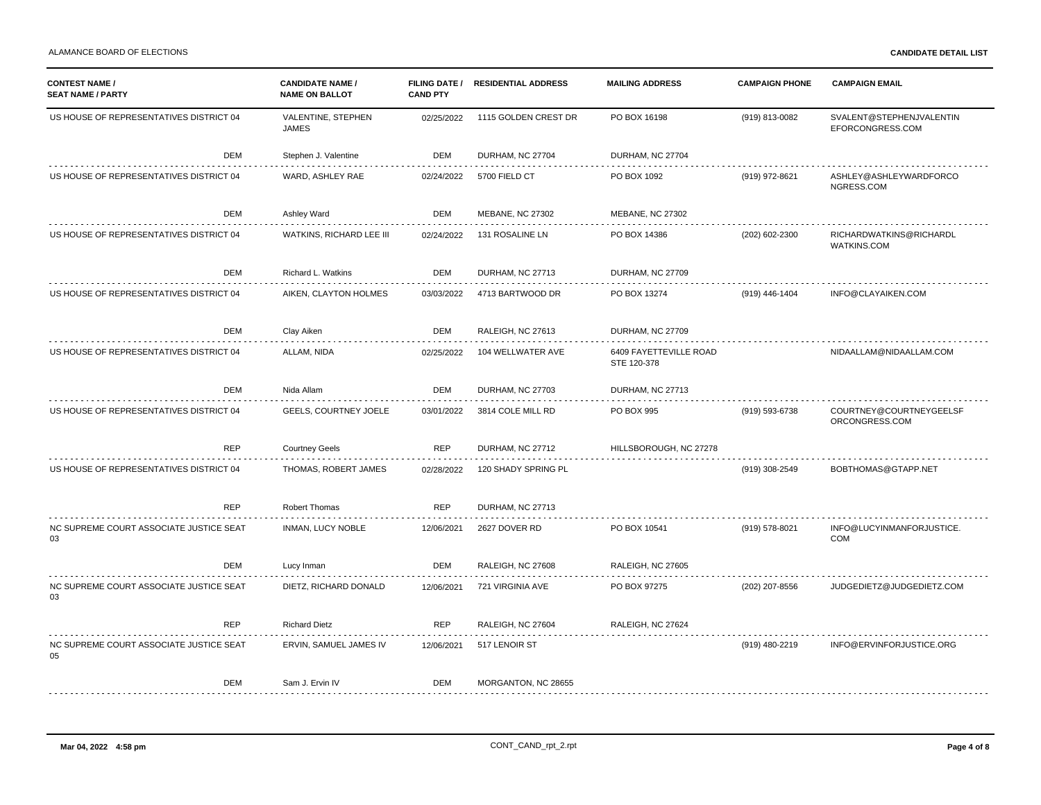| US HOUSE OF REPRESENTATIVES DISTRICT 04<br>VALENTINE, STEPHEN<br>02/25/2022<br>1115 GOLDEN CREST DR<br>PO BOX 16198<br>(919) 813-0082<br>SVALENT@STEPHENJVALENTIN<br><b>JAMES</b><br>EFORCONGRESS.COM<br>DEM<br>Stephen J. Valentine<br>DEM<br>DURHAM, NC 27704<br>DURHAM, NC 27704<br>WARD, ASHLEY RAE<br>02/24/2022<br>ASHLEY@ASHLEYWARDFORCO<br>US HOUSE OF REPRESENTATIVES DISTRICT 04<br>5700 FIELD CT<br>PO BOX 1092<br>(919) 972-8621<br>NGRESS.COM<br>DEM<br>Ashley Ward<br>DEM<br><b>MEBANE, NC 27302</b><br>MEBANE, NC 27302<br>US HOUSE OF REPRESENTATIVES DISTRICT 04<br>WATKINS, RICHARD LEE III<br>02/24/2022<br>131 ROSALINE LN<br>PO BOX 14386<br>RICHARDWATKINS@RICHARDL<br>(202) 602-2300<br>WATKINS.COM<br><b>DEM</b><br>DEM<br>DURHAM, NC 27709<br>Richard L. Watkins<br>DURHAM, NC 27713<br>US HOUSE OF REPRESENTATIVES DISTRICT 04<br>AIKEN, CLAYTON HOLMES<br>INFO@CLAYAIKEN.COM<br>4713 BARTWOOD DR<br>PO BOX 13274<br>(919) 446-1404<br>03/03/2022<br>DEM<br>Clay Aiken<br>DEM<br>RALEIGH, NC 27613<br><b>DURHAM, NC 27709</b><br>US HOUSE OF REPRESENTATIVES DISTRICT 04<br>ALLAM, NIDA<br>104 WELLWATER AVE<br>6409 FAYETTEVILLE ROAD<br>NIDAALLAM@NIDAALLAM.COM<br>02/25/2022<br>STE 120-378<br><b>DEM</b><br>DEM<br>DURHAM, NC 27713<br>Nida Allam<br><b>DURHAM, NC 27703</b><br><b>GEELS, COURTNEY JOELE</b><br>US HOUSE OF REPRESENTATIVES DISTRICT 04<br>COURTNEY@COURTNEYGEELSF<br>3814 COLE MILL RD<br>PO BOX 995<br>(919) 593-6738<br>03/01/2022<br>ORCONGRESS.COM<br><b>REP</b><br><b>REP</b><br><b>Courtney Geels</b><br>DURHAM, NC 27712<br>HILLSBOROUGH, NC 27278<br>US HOUSE OF REPRESENTATIVES DISTRICT 04<br>THOMAS, ROBERT JAMES<br>120 SHADY SPRING PL<br>(919) 308-2549<br>BOBTHOMAS@GTAPP.NET<br>02/28/2022<br><b>REP</b><br><b>REP</b><br><b>Robert Thomas</b><br>DURHAM, NC 27713<br>NC SUPREME COURT ASSOCIATE JUSTICE SEAT<br><b>INMAN, LUCY NOBLE</b><br>2627 DOVER RD<br>PO BOX 10541<br>(919) 578-8021<br>INFO@LUCYINMANFORJUSTICE.<br>12/06/2021<br>03<br><b>COM</b><br><b>DEM</b><br>DEM<br>RALEIGH, NC 27608<br>RALEIGH, NC 27605<br>Lucy Inman<br>NC SUPREME COURT ASSOCIATE JUSTICE SEAT<br>DIETZ, RICHARD DONALD<br>721 VIRGINIA AVE<br>PO BOX 97275<br>12/06/2021<br>(202) 207-8556<br>JUDGEDIETZ@JUDGEDIETZ.COM<br>03<br><b>REP</b><br><b>Richard Dietz</b><br><b>REP</b><br>RALEIGH, NC 27624<br>RALEIGH, NC 27604<br>NC SUPREME COURT ASSOCIATE JUSTICE SEAT<br>517 LENOIR ST<br>ERVIN, SAMUEL JAMES IV<br>12/06/2021<br>(919) 480-2219<br>INFO@ERVINFORJUSTICE.ORG<br>05<br><b>DEM</b><br>Sam J. Ervin IV<br>DEM<br>MORGANTON, NC 28655 | <b>CONTEST NAME /</b><br><b>SEAT NAME / PARTY</b> | <b>CANDIDATE NAME /</b><br><b>NAME ON BALLOT</b> | <b>FILING DATE /</b><br><b>CAND PTY</b> | <b>RESIDENTIAL ADDRESS</b> | <b>MAILING ADDRESS</b> | <b>CAMPAIGN PHONE</b> | <b>CAMPAIGN EMAIL</b> |
|---------------------------------------------------------------------------------------------------------------------------------------------------------------------------------------------------------------------------------------------------------------------------------------------------------------------------------------------------------------------------------------------------------------------------------------------------------------------------------------------------------------------------------------------------------------------------------------------------------------------------------------------------------------------------------------------------------------------------------------------------------------------------------------------------------------------------------------------------------------------------------------------------------------------------------------------------------------------------------------------------------------------------------------------------------------------------------------------------------------------------------------------------------------------------------------------------------------------------------------------------------------------------------------------------------------------------------------------------------------------------------------------------------------------------------------------------------------------------------------------------------------------------------------------------------------------------------------------------------------------------------------------------------------------------------------------------------------------------------------------------------------------------------------------------------------------------------------------------------------------------------------------------------------------------------------------------------------------------------------------------------------------------------------------------------------------------------------------------------------------------------------------------------------------------------------------------------------------------------------------------------------------------------------------------------------------------------------------------------------------------------------------------------------------------------------------------------------------------------------------------------------------------------------------------------------------------------------------------------|---------------------------------------------------|--------------------------------------------------|-----------------------------------------|----------------------------|------------------------|-----------------------|-----------------------|
|                                                                                                                                                                                                                                                                                                                                                                                                                                                                                                                                                                                                                                                                                                                                                                                                                                                                                                                                                                                                                                                                                                                                                                                                                                                                                                                                                                                                                                                                                                                                                                                                                                                                                                                                                                                                                                                                                                                                                                                                                                                                                                                                                                                                                                                                                                                                                                                                                                                                                                                                                                                                         |                                                   |                                                  |                                         |                            |                        |                       |                       |
|                                                                                                                                                                                                                                                                                                                                                                                                                                                                                                                                                                                                                                                                                                                                                                                                                                                                                                                                                                                                                                                                                                                                                                                                                                                                                                                                                                                                                                                                                                                                                                                                                                                                                                                                                                                                                                                                                                                                                                                                                                                                                                                                                                                                                                                                                                                                                                                                                                                                                                                                                                                                         |                                                   |                                                  |                                         |                            |                        |                       |                       |
|                                                                                                                                                                                                                                                                                                                                                                                                                                                                                                                                                                                                                                                                                                                                                                                                                                                                                                                                                                                                                                                                                                                                                                                                                                                                                                                                                                                                                                                                                                                                                                                                                                                                                                                                                                                                                                                                                                                                                                                                                                                                                                                                                                                                                                                                                                                                                                                                                                                                                                                                                                                                         |                                                   |                                                  |                                         |                            |                        |                       |                       |
|                                                                                                                                                                                                                                                                                                                                                                                                                                                                                                                                                                                                                                                                                                                                                                                                                                                                                                                                                                                                                                                                                                                                                                                                                                                                                                                                                                                                                                                                                                                                                                                                                                                                                                                                                                                                                                                                                                                                                                                                                                                                                                                                                                                                                                                                                                                                                                                                                                                                                                                                                                                                         |                                                   |                                                  |                                         |                            |                        |                       |                       |
|                                                                                                                                                                                                                                                                                                                                                                                                                                                                                                                                                                                                                                                                                                                                                                                                                                                                                                                                                                                                                                                                                                                                                                                                                                                                                                                                                                                                                                                                                                                                                                                                                                                                                                                                                                                                                                                                                                                                                                                                                                                                                                                                                                                                                                                                                                                                                                                                                                                                                                                                                                                                         |                                                   |                                                  |                                         |                            |                        |                       |                       |
|                                                                                                                                                                                                                                                                                                                                                                                                                                                                                                                                                                                                                                                                                                                                                                                                                                                                                                                                                                                                                                                                                                                                                                                                                                                                                                                                                                                                                                                                                                                                                                                                                                                                                                                                                                                                                                                                                                                                                                                                                                                                                                                                                                                                                                                                                                                                                                                                                                                                                                                                                                                                         |                                                   |                                                  |                                         |                            |                        |                       |                       |
|                                                                                                                                                                                                                                                                                                                                                                                                                                                                                                                                                                                                                                                                                                                                                                                                                                                                                                                                                                                                                                                                                                                                                                                                                                                                                                                                                                                                                                                                                                                                                                                                                                                                                                                                                                                                                                                                                                                                                                                                                                                                                                                                                                                                                                                                                                                                                                                                                                                                                                                                                                                                         |                                                   |                                                  |                                         |                            |                        |                       |                       |
|                                                                                                                                                                                                                                                                                                                                                                                                                                                                                                                                                                                                                                                                                                                                                                                                                                                                                                                                                                                                                                                                                                                                                                                                                                                                                                                                                                                                                                                                                                                                                                                                                                                                                                                                                                                                                                                                                                                                                                                                                                                                                                                                                                                                                                                                                                                                                                                                                                                                                                                                                                                                         |                                                   |                                                  |                                         |                            |                        |                       |                       |
|                                                                                                                                                                                                                                                                                                                                                                                                                                                                                                                                                                                                                                                                                                                                                                                                                                                                                                                                                                                                                                                                                                                                                                                                                                                                                                                                                                                                                                                                                                                                                                                                                                                                                                                                                                                                                                                                                                                                                                                                                                                                                                                                                                                                                                                                                                                                                                                                                                                                                                                                                                                                         |                                                   |                                                  |                                         |                            |                        |                       |                       |
|                                                                                                                                                                                                                                                                                                                                                                                                                                                                                                                                                                                                                                                                                                                                                                                                                                                                                                                                                                                                                                                                                                                                                                                                                                                                                                                                                                                                                                                                                                                                                                                                                                                                                                                                                                                                                                                                                                                                                                                                                                                                                                                                                                                                                                                                                                                                                                                                                                                                                                                                                                                                         |                                                   |                                                  |                                         |                            |                        |                       |                       |
|                                                                                                                                                                                                                                                                                                                                                                                                                                                                                                                                                                                                                                                                                                                                                                                                                                                                                                                                                                                                                                                                                                                                                                                                                                                                                                                                                                                                                                                                                                                                                                                                                                                                                                                                                                                                                                                                                                                                                                                                                                                                                                                                                                                                                                                                                                                                                                                                                                                                                                                                                                                                         |                                                   |                                                  |                                         |                            |                        |                       |                       |
|                                                                                                                                                                                                                                                                                                                                                                                                                                                                                                                                                                                                                                                                                                                                                                                                                                                                                                                                                                                                                                                                                                                                                                                                                                                                                                                                                                                                                                                                                                                                                                                                                                                                                                                                                                                                                                                                                                                                                                                                                                                                                                                                                                                                                                                                                                                                                                                                                                                                                                                                                                                                         |                                                   |                                                  |                                         |                            |                        |                       |                       |
|                                                                                                                                                                                                                                                                                                                                                                                                                                                                                                                                                                                                                                                                                                                                                                                                                                                                                                                                                                                                                                                                                                                                                                                                                                                                                                                                                                                                                                                                                                                                                                                                                                                                                                                                                                                                                                                                                                                                                                                                                                                                                                                                                                                                                                                                                                                                                                                                                                                                                                                                                                                                         |                                                   |                                                  |                                         |                            |                        |                       |                       |
|                                                                                                                                                                                                                                                                                                                                                                                                                                                                                                                                                                                                                                                                                                                                                                                                                                                                                                                                                                                                                                                                                                                                                                                                                                                                                                                                                                                                                                                                                                                                                                                                                                                                                                                                                                                                                                                                                                                                                                                                                                                                                                                                                                                                                                                                                                                                                                                                                                                                                                                                                                                                         |                                                   |                                                  |                                         |                            |                        |                       |                       |
|                                                                                                                                                                                                                                                                                                                                                                                                                                                                                                                                                                                                                                                                                                                                                                                                                                                                                                                                                                                                                                                                                                                                                                                                                                                                                                                                                                                                                                                                                                                                                                                                                                                                                                                                                                                                                                                                                                                                                                                                                                                                                                                                                                                                                                                                                                                                                                                                                                                                                                                                                                                                         |                                                   |                                                  |                                         |                            |                        |                       |                       |
|                                                                                                                                                                                                                                                                                                                                                                                                                                                                                                                                                                                                                                                                                                                                                                                                                                                                                                                                                                                                                                                                                                                                                                                                                                                                                                                                                                                                                                                                                                                                                                                                                                                                                                                                                                                                                                                                                                                                                                                                                                                                                                                                                                                                                                                                                                                                                                                                                                                                                                                                                                                                         |                                                   |                                                  |                                         |                            |                        |                       |                       |
|                                                                                                                                                                                                                                                                                                                                                                                                                                                                                                                                                                                                                                                                                                                                                                                                                                                                                                                                                                                                                                                                                                                                                                                                                                                                                                                                                                                                                                                                                                                                                                                                                                                                                                                                                                                                                                                                                                                                                                                                                                                                                                                                                                                                                                                                                                                                                                                                                                                                                                                                                                                                         |                                                   |                                                  |                                         |                            |                        |                       |                       |
|                                                                                                                                                                                                                                                                                                                                                                                                                                                                                                                                                                                                                                                                                                                                                                                                                                                                                                                                                                                                                                                                                                                                                                                                                                                                                                                                                                                                                                                                                                                                                                                                                                                                                                                                                                                                                                                                                                                                                                                                                                                                                                                                                                                                                                                                                                                                                                                                                                                                                                                                                                                                         |                                                   |                                                  |                                         |                            |                        |                       |                       |
|                                                                                                                                                                                                                                                                                                                                                                                                                                                                                                                                                                                                                                                                                                                                                                                                                                                                                                                                                                                                                                                                                                                                                                                                                                                                                                                                                                                                                                                                                                                                                                                                                                                                                                                                                                                                                                                                                                                                                                                                                                                                                                                                                                                                                                                                                                                                                                                                                                                                                                                                                                                                         |                                                   |                                                  |                                         |                            |                        |                       |                       |
|                                                                                                                                                                                                                                                                                                                                                                                                                                                                                                                                                                                                                                                                                                                                                                                                                                                                                                                                                                                                                                                                                                                                                                                                                                                                                                                                                                                                                                                                                                                                                                                                                                                                                                                                                                                                                                                                                                                                                                                                                                                                                                                                                                                                                                                                                                                                                                                                                                                                                                                                                                                                         |                                                   |                                                  |                                         |                            |                        |                       |                       |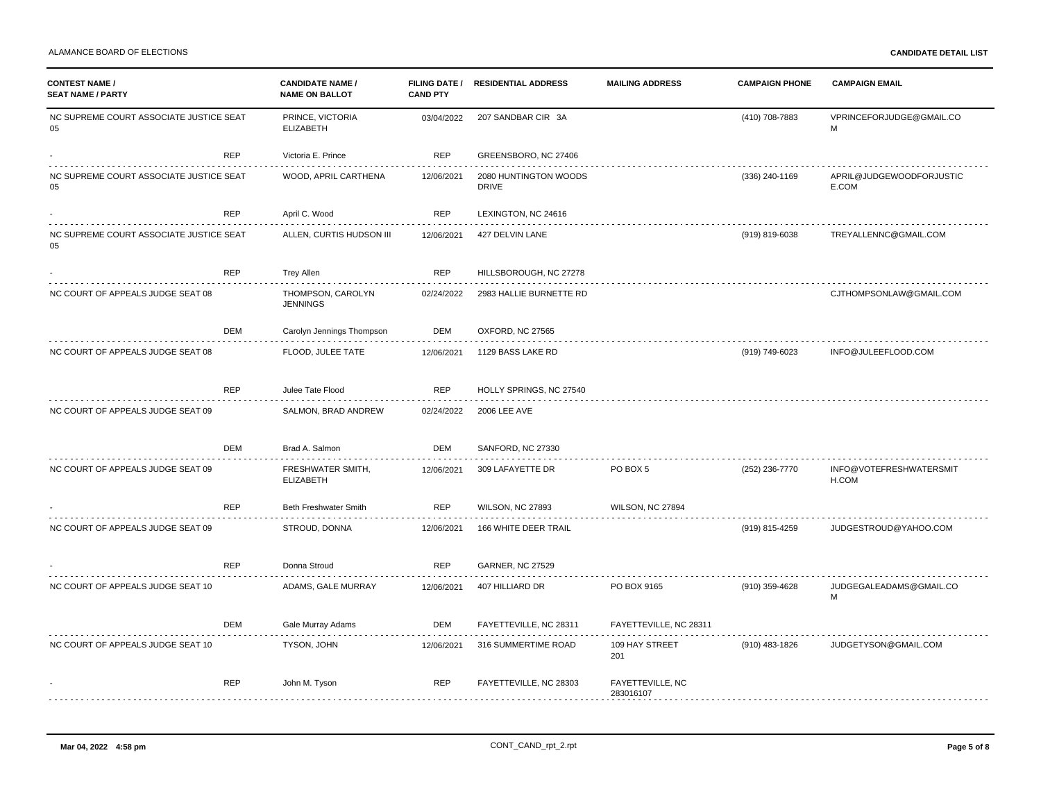| <b>CONTEST NAME /</b><br><b>SEAT NAME / PARTY</b> |            | <b>CANDIDATE NAME /</b><br><b>NAME ON BALLOT</b> | <b>CAND PTY</b> | FILING DATE / RESIDENTIAL ADDRESS     | <b>MAILING ADDRESS</b>               | <b>CAMPAIGN PHONE</b> | <b>CAMPAIGN EMAIL</b>             |  |
|---------------------------------------------------|------------|--------------------------------------------------|-----------------|---------------------------------------|--------------------------------------|-----------------------|-----------------------------------|--|
| NC SUPREME COURT ASSOCIATE JUSTICE SEAT<br>05     |            | PRINCE, VICTORIA<br><b>ELIZABETH</b>             | 03/04/2022      | 207 SANDBAR CIR 3A                    |                                      | (410) 708-7883        | VPRINCEFORJUDGE@GMAIL.CO<br>M     |  |
|                                                   | <b>REP</b> | Victoria E. Prince                               | <b>REP</b>      | GREENSBORO, NC 27406                  |                                      |                       |                                   |  |
| NC SUPREME COURT ASSOCIATE JUSTICE SEAT<br>05     |            | WOOD, APRIL CARTHENA                             | 12/06/2021      | 2080 HUNTINGTON WOODS<br><b>DRIVE</b> |                                      | (336) 240-1169        | APRIL@JUDGEWOODFORJUSTIC<br>E.COM |  |
|                                                   | <b>REP</b> | April C. Wood                                    | <b>REP</b>      | LEXINGTON, NC 24616                   |                                      |                       |                                   |  |
| NC SUPREME COURT ASSOCIATE JUSTICE SEAT<br>05     |            | ALLEN, CURTIS HUDSON III                         | 12/06/2021      | 427 DELVIN LANE                       |                                      | (919) 819-6038        | TREYALLENNC@GMAIL.COM             |  |
|                                                   | <b>REP</b> | <b>Trey Allen</b>                                | <b>REP</b>      | HILLSBOROUGH, NC 27278                |                                      |                       |                                   |  |
| NC COURT OF APPEALS JUDGE SEAT 08                 |            | THOMPSON, CAROLYN<br><b>JENNINGS</b>             | 02/24/2022      | 2983 HALLIE BURNETTE RD               |                                      |                       | CJTHOMPSONLAW@GMAIL.COM           |  |
|                                                   | <b>DEM</b> | Carolyn Jennings Thompson                        | DEM             | OXFORD, NC 27565                      |                                      |                       |                                   |  |
| NC COURT OF APPEALS JUDGE SEAT 08                 |            | FLOOD, JULEE TATE                                | 12/06/2021      | 1129 BASS LAKE RD                     |                                      | (919) 749-6023        | INFO@JULEEFLOOD.COM               |  |
|                                                   | <b>REP</b> | Julee Tate Flood                                 | <b>REP</b>      | HOLLY SPRINGS, NC 27540               |                                      |                       |                                   |  |
| NC COURT OF APPEALS JUDGE SEAT 09                 |            | SALMON, BRAD ANDREW                              | 02/24/2022      | <b>2006 LEE AVE</b>                   |                                      |                       |                                   |  |
|                                                   | <b>DEM</b> | Brad A. Salmon                                   | DEM             | SANFORD, NC 27330                     |                                      |                       |                                   |  |
| NC COURT OF APPEALS JUDGE SEAT 09                 |            | FRESHWATER SMITH,<br><b>ELIZABETH</b>            | 12/06/2021      | 309 LAFAYETTE DR                      | PO BOX 5                             | (252) 236-7770        | INFO@VOTEFRESHWATERSMIT<br>H.COM  |  |
|                                                   | <b>REP</b> | Beth Freshwater Smith                            | <b>REP</b>      | <b>WILSON, NC 27893</b>               | WILSON, NC 27894                     |                       |                                   |  |
| NC COURT OF APPEALS JUDGE SEAT 09                 |            | STROUD, DONNA                                    | 12/06/2021      | 166 WHITE DEER TRAIL                  |                                      | (919) 815-4259        | JUDGESTROUD@YAHOO.COM             |  |
|                                                   | <b>REP</b> | Donna Stroud                                     | <b>REP</b>      | <b>GARNER, NC 27529</b>               |                                      |                       |                                   |  |
| NC COURT OF APPEALS JUDGE SEAT 10                 |            | ADAMS, GALE MURRAY                               | 12/06/2021      | 407 HILLIARD DR                       | PO BOX 9165                          | (910) 359-4628        | JUDGEGALEADAMS@GMAIL.CO<br>M      |  |
|                                                   | <b>DEM</b> | Gale Murray Adams                                | DEM             | FAYETTEVILLE, NC 28311                | FAYETTEVILLE, NC 28311               |                       |                                   |  |
| NC COURT OF APPEALS JUDGE SEAT 10                 |            | TYSON, JOHN                                      | 12/06/2021      | 316 SUMMERTIME ROAD                   | 109 HAY STREET<br>201                | (910) 483-1826        | JUDGETYSON@GMAIL.COM              |  |
|                                                   | <b>REP</b> | John M. Tyson                                    | <b>REP</b>      | FAYETTEVILLE, NC 28303                | <b>FAYETTEVILLE, NC</b><br>283016107 |                       |                                   |  |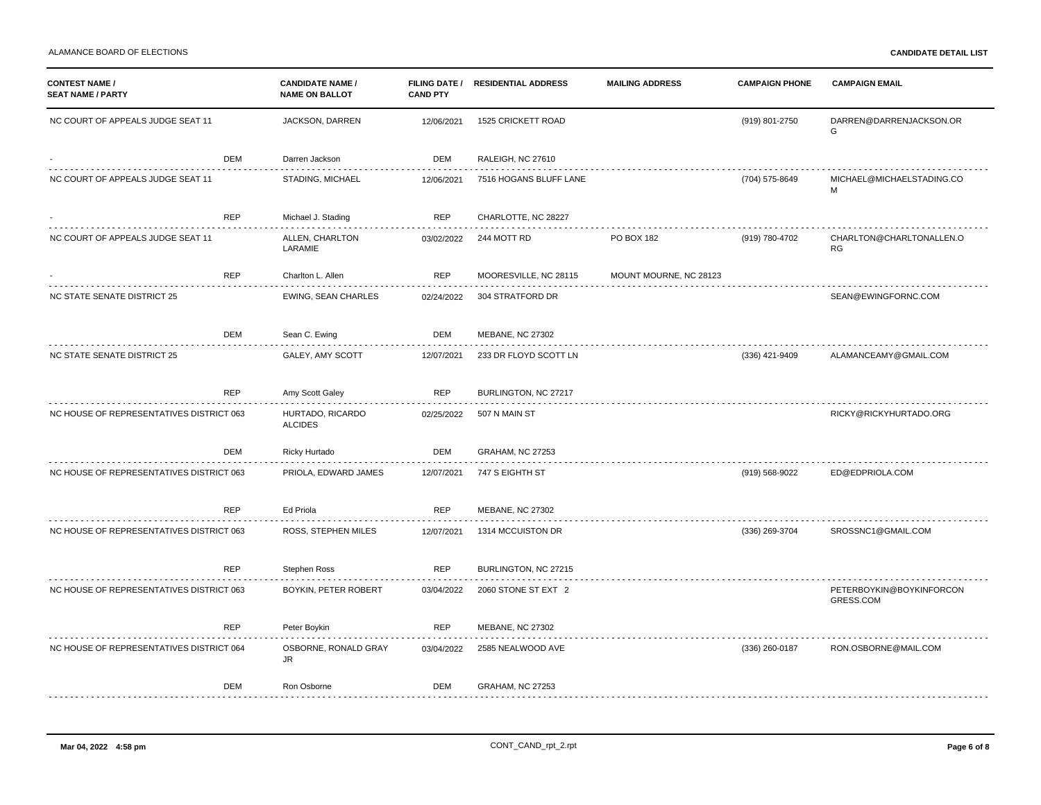| <b>CONTEST NAME /</b><br><b>SEAT NAME / PARTY</b> |            | <b>CANDIDATE NAME /</b><br><b>NAME ON BALLOT</b> | <b>CAND PTY</b> | FILING DATE / RESIDENTIAL ADDRESS | <b>MAILING ADDRESS</b> | <b>CAMPAIGN PHONE</b> | <b>CAMPAIGN EMAIL</b>                 |
|---------------------------------------------------|------------|--------------------------------------------------|-----------------|-----------------------------------|------------------------|-----------------------|---------------------------------------|
| NC COURT OF APPEALS JUDGE SEAT 11                 |            | JACKSON, DARREN                                  | 12/06/2021      | 1525 CRICKETT ROAD                |                        | (919) 801-2750        | DARREN@DARRENJACKSON.OR<br>G          |
|                                                   | DEM        | Darren Jackson                                   | DEM             | RALEIGH, NC 27610                 |                        |                       |                                       |
| NC COURT OF APPEALS JUDGE SEAT 11                 |            | STADING, MICHAEL                                 | 12/06/2021      | 7516 HOGANS BLUFF LANE            |                        | (704) 575-8649        | MICHAEL@MICHAELSTADING.CO<br>м        |
|                                                   | REP        | Michael J. Stading                               | <b>REP</b>      | CHARLOTTE, NC 28227               |                        |                       |                                       |
| NC COURT OF APPEALS JUDGE SEAT 11                 |            | ALLEN, CHARLTON<br>LARAMIE                       | 03/02/2022      | 244 MOTT RD                       | PO BOX 182             | (919) 780-4702        | CHARLTON@CHARLTONALLEN.O<br>RG        |
|                                                   | REP        | Charlton L. Allen                                | <b>REP</b>      | MOORESVILLE, NC 28115             | MOUNT MOURNE, NC 28123 |                       |                                       |
| NC STATE SENATE DISTRICT 25                       |            | EWING, SEAN CHARLES                              | 02/24/2022      | 304 STRATFORD DR                  |                        |                       | SEAN@EWINGFORNC.COM                   |
|                                                   | DEM        | Sean C. Ewing                                    | DEM             | <b>MEBANE, NC 27302</b>           |                        |                       |                                       |
| NC STATE SENATE DISTRICT 25                       |            | GALEY, AMY SCOTT                                 | 12/07/2021      | .<br>233 DR FLOYD SCOTT LN        |                        | (336) 421-9409        | ALAMANCEAMY@GMAIL.COM                 |
|                                                   | <b>REP</b> | Amy Scott Galey                                  | <b>REP</b>      | BURLINGTON, NC 27217              |                        |                       |                                       |
| NC HOUSE OF REPRESENTATIVES DISTRICT 063          |            | HURTADO, RICARDO<br><b>ALCIDES</b>               | 02/25/2022      | 507 N MAIN ST                     |                        |                       | RICKY@RICKYHURTADO.ORG                |
|                                                   | DEM        | Ricky Hurtado                                    | DEM             | <b>GRAHAM, NC 27253</b>           |                        |                       |                                       |
| NC HOUSE OF REPRESENTATIVES DISTRICT 063          |            | PRIOLA, EDWARD JAMES                             | 12/07/2021      | 747 S EIGHTH ST                   |                        | (919) 568-9022        | ED@EDPRIOLA.COM                       |
|                                                   | <b>REP</b> | Ed Priola                                        | <b>REP</b>      | <b>MEBANE, NC 27302</b>           |                        |                       |                                       |
| NC HOUSE OF REPRESENTATIVES DISTRICT 063          |            | ROSS, STEPHEN MILES                              | 12/07/2021      | 1314 MCCUISTON DR                 |                        | (336) 269-3704        | SROSSNC1@GMAIL.COM                    |
|                                                   | REP        | Stephen Ross                                     | <b>REP</b>      | BURLINGTON, NC 27215              |                        |                       |                                       |
| NC HOUSE OF REPRESENTATIVES DISTRICT 063          |            | BOYKIN, PETER ROBERT                             | 03/04/2022      | 2060 STONE ST EXT 2               |                        |                       | PETERBOYKIN@BOYKINFORCON<br>GRESS.COM |
|                                                   | REP        | Peter Boykin                                     | <b>REP</b>      | <b>MEBANE, NC 27302</b>           |                        |                       |                                       |
| NC HOUSE OF REPRESENTATIVES DISTRICT 064          |            | OSBORNE, RONALD GRAY<br>JR                       | 03/04/2022      | 2585 NEALWOOD AVE                 |                        | (336) 260-0187        | RON.OSBORNE@MAIL.COM                  |
|                                                   | DEM        | Ron Osborne                                      | DEM             | <b>GRAHAM, NC 27253</b>           |                        |                       |                                       |
|                                                   |            |                                                  |                 |                                   |                        |                       |                                       |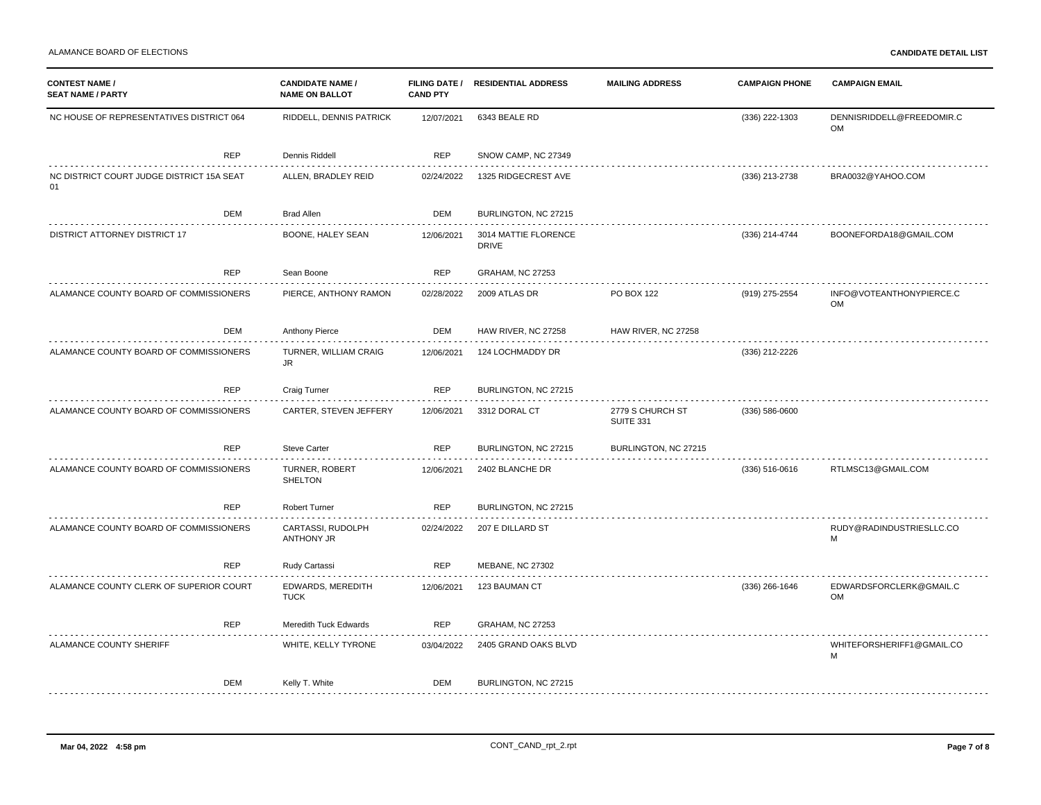| <b>CONTEST NAME /</b><br><b>SEAT NAME / PARTY</b> |            | <b>CANDIDATE NAME</b><br><b>NAME ON BALLOT</b> | <b>CAND PTY</b> | FILING DATE / RESIDENTIAL ADDRESS    | <b>MAILING ADDRESS</b>               | <b>CAMPAIGN PHONE</b> | <b>CAMPAIGN EMAIL</b>                  |
|---------------------------------------------------|------------|------------------------------------------------|-----------------|--------------------------------------|--------------------------------------|-----------------------|----------------------------------------|
| NC HOUSE OF REPRESENTATIVES DISTRICT 064          |            | RIDDELL, DENNIS PATRICK                        | 12/07/2021      | 6343 BEALE RD                        |                                      | (336) 222-1303        | DENNISRIDDELL@FREEDOMIR.C<br><b>OM</b> |
|                                                   | <b>REP</b> | Dennis Riddell                                 | REP             | SNOW CAMP, NC 27349                  |                                      |                       |                                        |
| NC DISTRICT COURT JUDGE DISTRICT 15A SEAT<br>01   |            | ALLEN, BRADLEY REID                            | 02/24/2022      | 1325 RIDGECREST AVE                  |                                      | (336) 213-2738        | BRA0032@YAHOO.COM                      |
|                                                   | DEM        | <b>Brad Allen</b>                              | DEM             | BURLINGTON, NC 27215                 |                                      |                       |                                        |
| <b>DISTRICT ATTORNEY DISTRICT 17</b>              |            | BOONE, HALEY SEAN                              | 12/06/2021      | 3014 MATTIE FLORENCE<br><b>DRIVE</b> |                                      | (336) 214-4744        | BOONEFORDA18@GMAIL.COM                 |
|                                                   | <b>REP</b> | Sean Boone                                     | <b>REP</b>      | <b>GRAHAM, NC 27253</b>              |                                      |                       |                                        |
| ALAMANCE COUNTY BOARD OF COMMISSIONERS            |            | PIERCE, ANTHONY RAMON                          | 02/28/2022      | 2009 ATLAS DR                        | PO BOX 122                           | (919) 275-2554        | INFO@VOTEANTHONYPIERCE.C<br><b>OM</b>  |
|                                                   | DEM        | Anthony Pierce                                 | DEM             | HAW RIVER, NC 27258                  | HAW RIVER, NC 27258                  |                       |                                        |
| ALAMANCE COUNTY BOARD OF COMMISSIONERS            |            | TURNER, WILLIAM CRAIG<br>JR                    | 12/06/2021      | 124 LOCHMADDY DR                     |                                      | (336) 212-2226        |                                        |
|                                                   | <b>REP</b> | <b>Craig Turner</b>                            | REP             | BURLINGTON, NC 27215                 |                                      |                       |                                        |
| ALAMANCE COUNTY BOARD OF COMMISSIONERS            |            | CARTER, STEVEN JEFFERY                         | 12/06/2021      | 3312 DORAL CT                        | 2779 S CHURCH ST<br><b>SUITE 331</b> | $(336) 586 - 0600$    |                                        |
|                                                   | <b>REP</b> | <b>Steve Carter</b>                            | <b>REP</b>      | BURLINGTON, NC 27215                 | BURLINGTON, NC 27215                 |                       |                                        |
| ALAMANCE COUNTY BOARD OF COMMISSIONERS            |            | TURNER, ROBERT<br><b>SHELTON</b>               | 12/06/2021      | 2402 BLANCHE DR                      |                                      | $(336) 516 - 0616$    | RTLMSC13@GMAIL.COM                     |
|                                                   | <b>REP</b> | <b>Robert Turner</b>                           | REP             | BURLINGTON, NC 27215                 |                                      |                       |                                        |
| ALAMANCE COUNTY BOARD OF COMMISSIONERS            |            | CARTASSI, RUDOLPH<br>ANTHONY JR                | 02/24/2022      | 207 E DILLARD ST                     |                                      |                       | RUDY@RADINDUSTRIESLLC.CO<br>M          |
|                                                   | <b>REP</b> | Rudy Cartassi                                  | <b>REP</b>      | <b>MEBANE, NC 27302</b>              |                                      |                       |                                        |
| ALAMANCE COUNTY CLERK OF SUPERIOR COURT           |            | EDWARDS, MEREDITH<br><b>TUCK</b>               | 12/06/2021      | 123 BAUMAN CT                        |                                      | $(336)$ 266-1646      | EDWARDSFORCLERK@GMAIL.C<br><b>OM</b>   |
|                                                   | <b>REP</b> | Meredith Tuck Edwards                          | REP             | <b>GRAHAM, NC 27253</b>              |                                      |                       |                                        |
| ALAMANCE COUNTY SHERIFF                           |            | WHITE, KELLY TYRONE                            | 03/04/2022      | 2405 GRAND OAKS BLVD                 |                                      |                       | WHITEFORSHERIFF1@GMAIL.CO<br>M         |
|                                                   | DEM        | Kelly T. White                                 | DEM             | BURLINGTON, NC 27215                 |                                      |                       |                                        |
|                                                   |            |                                                |                 |                                      |                                      |                       |                                        |